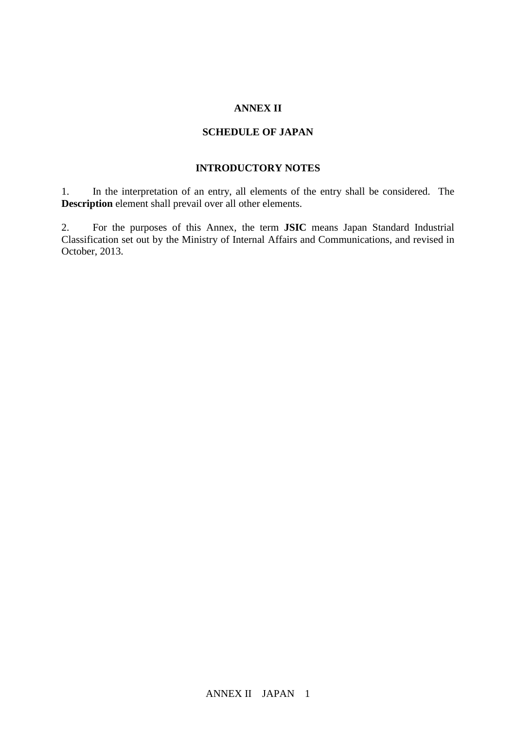## **ANNEX II**

## **SCHEDULE OF JAPAN**

## **INTRODUCTORY NOTES**

1. In the interpretation of an entry, all elements of the entry shall be considered. The **Description** element shall prevail over all other elements.

2. For the purposes of this Annex, the term **JSIC** means Japan Standard Industrial Classification set out by the Ministry of Internal Affairs and Communications, and revised in October, 2013.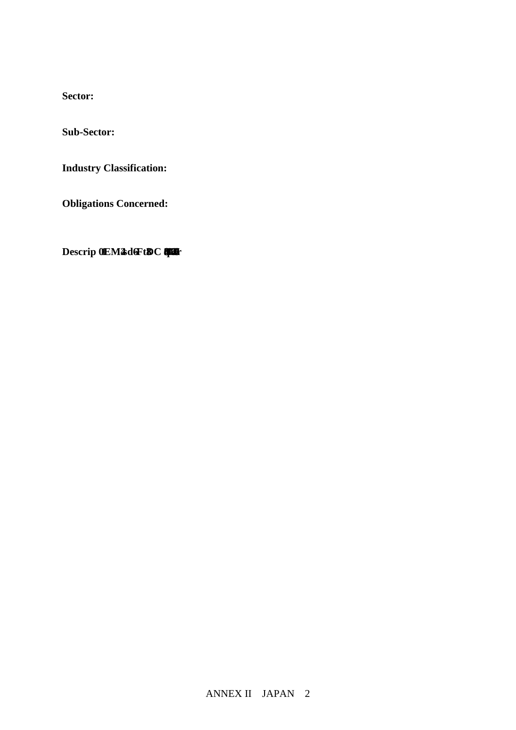**Sector:**

**Sub-Sector:**

**Industry Classification:**

**Obligations Concerned:**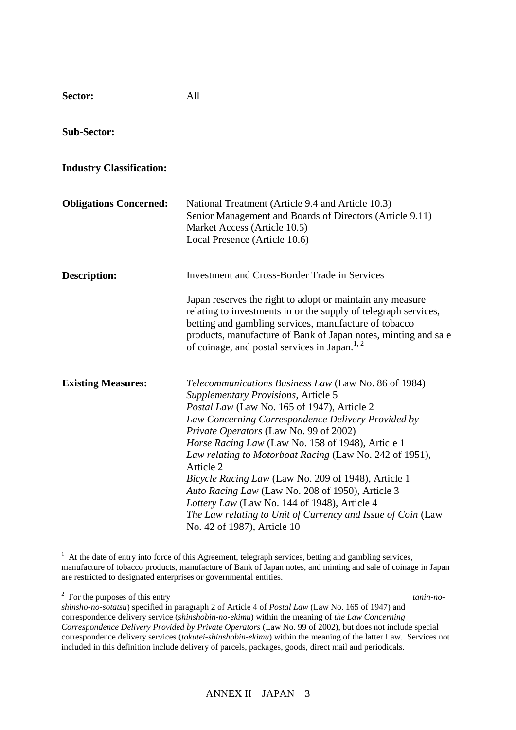| <b>Sub-Sector:</b>              |                                                                                                                                                                                                                                                                                                                                                                                                                                                                                                                                                                                                                                  |
|---------------------------------|----------------------------------------------------------------------------------------------------------------------------------------------------------------------------------------------------------------------------------------------------------------------------------------------------------------------------------------------------------------------------------------------------------------------------------------------------------------------------------------------------------------------------------------------------------------------------------------------------------------------------------|
| <b>Industry Classification:</b> |                                                                                                                                                                                                                                                                                                                                                                                                                                                                                                                                                                                                                                  |
| <b>Obligations Concerned:</b>   | National Treatment (Article 9.4 and Article 10.3)<br>Senior Management and Boards of Directors (Article 9.11)<br>Market Access (Article 10.5)<br>Local Presence (Article 10.6)                                                                                                                                                                                                                                                                                                                                                                                                                                                   |
| <b>Description:</b>             | <b>Investment and Cross-Border Trade in Services</b><br>Japan reserves the right to adopt or maintain any measure<br>relating to investments in or the supply of telegraph services,<br>betting and gambling services, manufacture of tobacco<br>products, manufacture of Bank of Japan notes, minting and sale<br>of coinage, and postal services in Japan. <sup>1, 2</sup>                                                                                                                                                                                                                                                     |
| <b>Existing Measures:</b>       | Telecommunications Business Law (Law No. 86 of 1984)<br>Supplementary Provisions, Article 5<br>Postal Law (Law No. 165 of 1947), Article 2<br>Law Concerning Correspondence Delivery Provided by<br>Private Operators (Law No. 99 of 2002)<br>Horse Racing Law (Law No. 158 of 1948), Article 1<br>Law relating to Motorboat Racing (Law No. 242 of 1951),<br>Article 2<br>Bicycle Racing Law (Law No. 209 of 1948), Article 1<br>Auto Racing Law (Law No. 208 of 1950), Article 3<br>Lottery Law (Law No. 144 of 1948), Article 4<br>The Law relating to Unit of Currency and Issue of Coin (Law<br>No. 42 of 1987), Article 10 |

All

<sup>2</sup> For the purposes of this entry tanin-no-

 $\overline{a}$ 

**Sector:** 

<sup>&</sup>lt;sup>1</sup> At the date of entry into force of this Agreement, telegraph services, betting and gambling services, manufacture of tobacco products, manufacture of Bank of Japan notes, and minting and sale of coinage in Japan are restricted to designated enterprises or governmental entities.

*shinsho-no-sotatsu*) specified in paragraph 2 of Article 4 of *Postal Law* (Law No. 165 of 1947) and correspondence delivery service (*shinshobin-no-ekimu*) within the meaning of *the Law Concerning Correspondence Delivery Provided by Private Operators* (Law No. 99 of 2002), but does not include special correspondence delivery services (*tokutei-shinshobin-ekimu*) within the meaning of the latter Law. Services not included in this definition include delivery of parcels, packages, goods, direct mail and periodicals.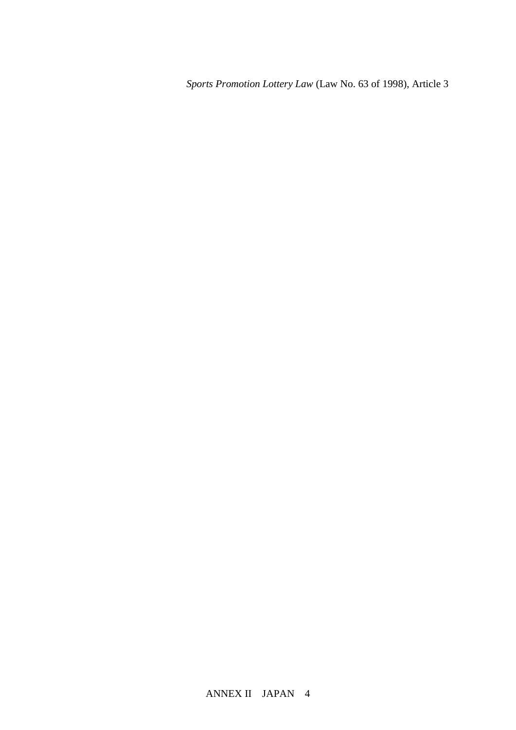*Sports Promotion Lottery Law* (Law No. 63 of 1998), Article 3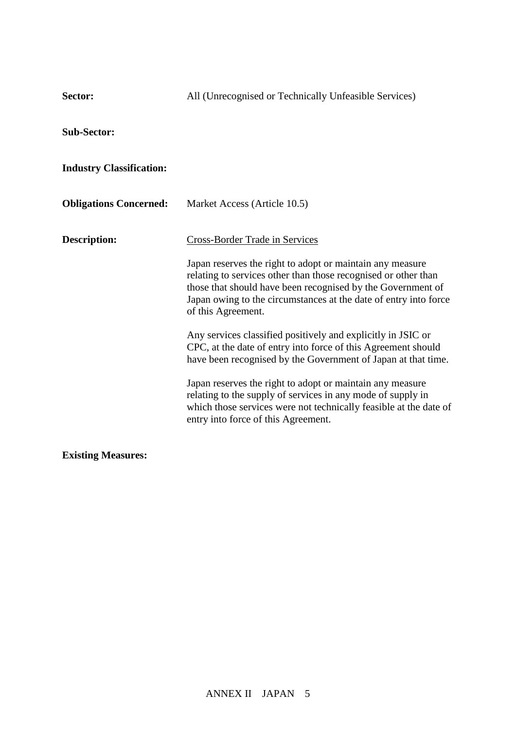| Sector:                         | All (Unrecognised or Technically Unfeasible Services)                                                                                                                                                                                                                                                                                                                                                                                                                                                                                                                                                                                                                                                                                                                   |
|---------------------------------|-------------------------------------------------------------------------------------------------------------------------------------------------------------------------------------------------------------------------------------------------------------------------------------------------------------------------------------------------------------------------------------------------------------------------------------------------------------------------------------------------------------------------------------------------------------------------------------------------------------------------------------------------------------------------------------------------------------------------------------------------------------------------|
| <b>Sub-Sector:</b>              |                                                                                                                                                                                                                                                                                                                                                                                                                                                                                                                                                                                                                                                                                                                                                                         |
| <b>Industry Classification:</b> |                                                                                                                                                                                                                                                                                                                                                                                                                                                                                                                                                                                                                                                                                                                                                                         |
| <b>Obligations Concerned:</b>   | Market Access (Article 10.5)                                                                                                                                                                                                                                                                                                                                                                                                                                                                                                                                                                                                                                                                                                                                            |
| <b>Description:</b>             | <b>Cross-Border Trade in Services</b><br>Japan reserves the right to adopt or maintain any measure<br>relating to services other than those recognised or other than<br>those that should have been recognised by the Government of<br>Japan owing to the circumstances at the date of entry into force<br>of this Agreement.<br>Any services classified positively and explicitly in JSIC or<br>CPC, at the date of entry into force of this Agreement should<br>have been recognised by the Government of Japan at that time.<br>Japan reserves the right to adopt or maintain any measure<br>relating to the supply of services in any mode of supply in<br>which those services were not technically feasible at the date of<br>entry into force of this Agreement. |
| <b>Existing Measures:</b>       |                                                                                                                                                                                                                                                                                                                                                                                                                                                                                                                                                                                                                                                                                                                                                                         |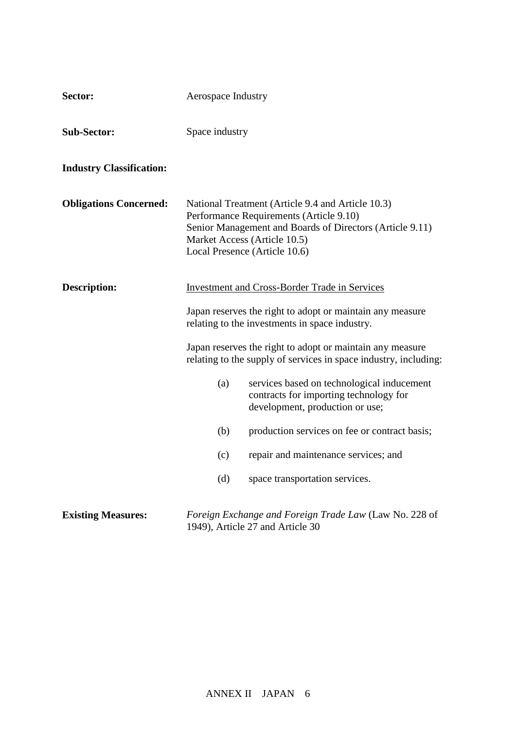| Sector:                         | Aerospace Industry |                                                                                                                                                                                                                                  |
|---------------------------------|--------------------|----------------------------------------------------------------------------------------------------------------------------------------------------------------------------------------------------------------------------------|
| <b>Sub-Sector:</b>              | Space industry     |                                                                                                                                                                                                                                  |
| <b>Industry Classification:</b> |                    |                                                                                                                                                                                                                                  |
| <b>Obligations Concerned:</b>   |                    | National Treatment (Article 9.4 and Article 10.3)<br>Performance Requirements (Article 9.10)<br>Senior Management and Boards of Directors (Article 9.11)<br>Market Access (Article 10.5)<br>Local Presence (Article 10.6)        |
| <b>Description:</b>             |                    | <b>Investment and Cross-Border Trade in Services</b><br>Japan reserves the right to adopt or maintain any measure<br>relating to the investments in space industry.<br>Japan reserves the right to adopt or maintain any measure |
|                                 | (a)                | relating to the supply of services in space industry, including:<br>services based on technological inducement<br>contracts for importing technology for<br>development, production or use;                                      |
|                                 | (b)                | production services on fee or contract basis;                                                                                                                                                                                    |
|                                 | (c)                | repair and maintenance services; and                                                                                                                                                                                             |
|                                 | (d)                | space transportation services.                                                                                                                                                                                                   |
| <b>Existing Measures:</b>       |                    | Foreign Exchange and Foreign Trade Law (Law No. 228 of<br>1949), Article 27 and Article 30                                                                                                                                       |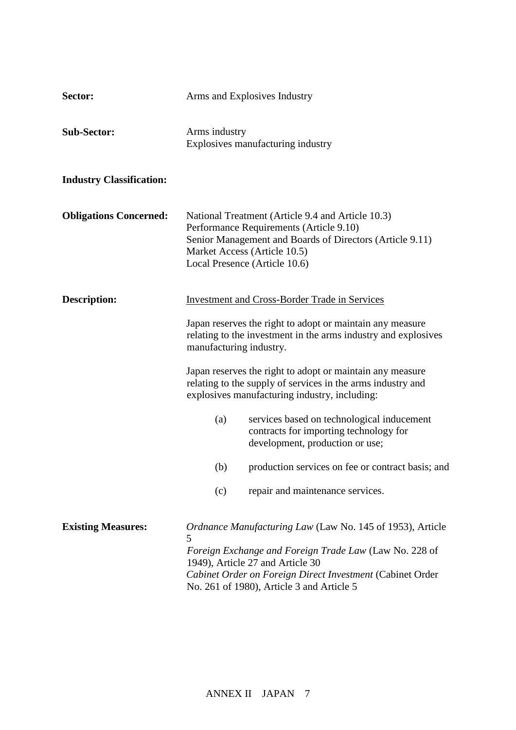| Sector:                         | Arms and Explosives Industry                                                                                                                                                                                                                                                              |
|---------------------------------|-------------------------------------------------------------------------------------------------------------------------------------------------------------------------------------------------------------------------------------------------------------------------------------------|
| <b>Sub-Sector:</b>              | Arms industry<br>Explosives manufacturing industry                                                                                                                                                                                                                                        |
| <b>Industry Classification:</b> |                                                                                                                                                                                                                                                                                           |
| <b>Obligations Concerned:</b>   | National Treatment (Article 9.4 and Article 10.3)<br>Performance Requirements (Article 9.10)<br>Senior Management and Boards of Directors (Article 9.11)<br>Market Access (Article 10.5)<br>Local Presence (Article 10.6)                                                                 |
| <b>Description:</b>             | <b>Investment and Cross-Border Trade in Services</b>                                                                                                                                                                                                                                      |
|                                 | Japan reserves the right to adopt or maintain any measure<br>relating to the investment in the arms industry and explosives<br>manufacturing industry.                                                                                                                                    |
|                                 | Japan reserves the right to adopt or maintain any measure<br>relating to the supply of services in the arms industry and<br>explosives manufacturing industry, including:                                                                                                                 |
|                                 | services based on technological inducement<br>(a)<br>contracts for importing technology for<br>development, production or use;                                                                                                                                                            |
|                                 | (b)<br>production services on fee or contract basis; and                                                                                                                                                                                                                                  |
|                                 | repair and maintenance services.<br>(c)                                                                                                                                                                                                                                                   |
| <b>Existing Measures:</b>       | <i>Ordnance Manufacturing Law</i> (Law No. 145 of 1953), Article<br>$\mathcal{D}$<br>Foreign Exchange and Foreign Trade Law (Law No. 228 of<br>1949), Article 27 and Article 30<br>Cabinet Order on Foreign Direct Investment (Cabinet Order<br>No. 261 of 1980), Article 3 and Article 5 |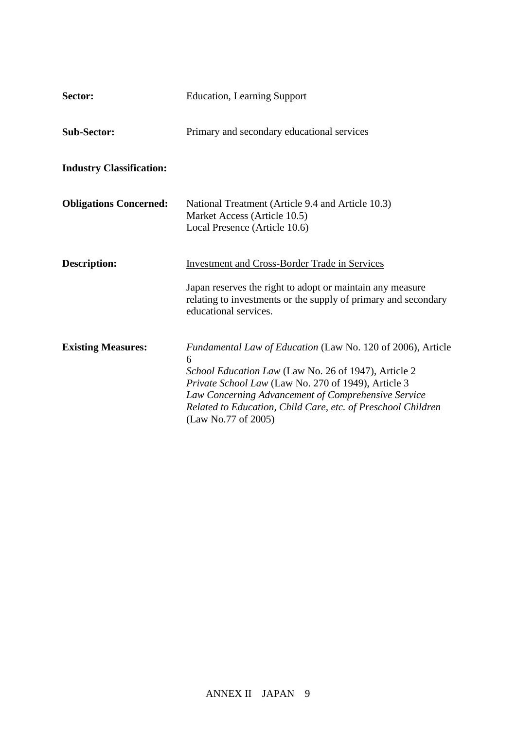| Sector:                         | <b>Education, Learning Support</b>                                                                                                                                                                                                                                                                                            |
|---------------------------------|-------------------------------------------------------------------------------------------------------------------------------------------------------------------------------------------------------------------------------------------------------------------------------------------------------------------------------|
| <b>Sub-Sector:</b>              | Primary and secondary educational services                                                                                                                                                                                                                                                                                    |
| <b>Industry Classification:</b> |                                                                                                                                                                                                                                                                                                                               |
| <b>Obligations Concerned:</b>   | National Treatment (Article 9.4 and Article 10.3)<br>Market Access (Article 10.5)<br>Local Presence (Article 10.6)                                                                                                                                                                                                            |
| <b>Description:</b>             | <b>Investment and Cross-Border Trade in Services</b><br>Japan reserves the right to adopt or maintain any measure<br>relating to investments or the supply of primary and secondary<br>educational services.                                                                                                                  |
| <b>Existing Measures:</b>       | Fundamental Law of Education (Law No. 120 of 2006), Article<br>6<br>School Education Law (Law No. 26 of 1947), Article 2<br>Private School Law (Law No. 270 of 1949), Article 3<br>Law Concerning Advancement of Comprehensive Service<br>Related to Education, Child Care, etc. of Preschool Children<br>(Law No.77 of 2005) |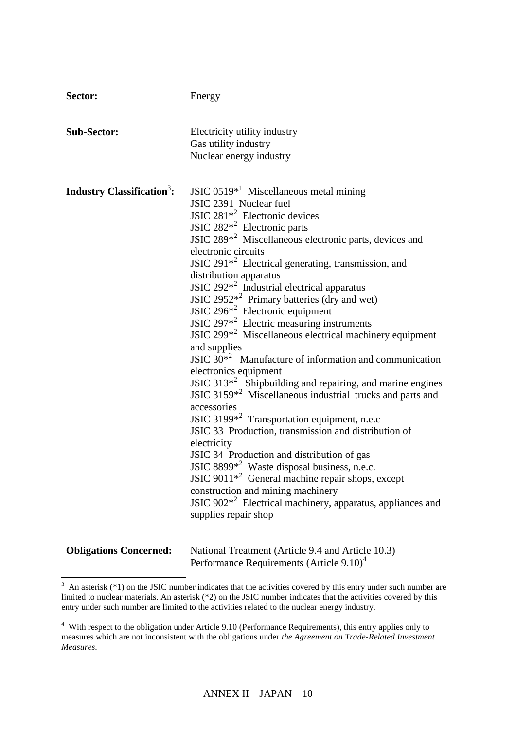| Sector:                                     | Energy                                                                 |
|---------------------------------------------|------------------------------------------------------------------------|
|                                             |                                                                        |
| <b>Sub-Sector:</b>                          | Electricity utility industry                                           |
|                                             | Gas utility industry                                                   |
|                                             | Nuclear energy industry                                                |
|                                             |                                                                        |
| <b>Industry Classification<sup>3</sup>:</b> | JSIC $0519*^1$ Miscellaneous metal mining                              |
|                                             | JSIC 2391 Nuclear fuel                                                 |
|                                             | JSIC $281^{*2}$ Electronic devices                                     |
|                                             | JSIC $282^{*2}$ Electronic parts                                       |
|                                             | JSIC $289*^2$ Miscellaneous electronic parts, devices and              |
|                                             | electronic circuits                                                    |
|                                             | JSIC $291*^2$ Electrical generating, transmission, and                 |
|                                             | distribution apparatus                                                 |
|                                             | JSIC $292*^2$ Industrial electrical apparatus                          |
|                                             | JSIC $2952*^2$ Primary batteries (dry and wet)                         |
|                                             | JSIC $296*^2$ Electronic equipment                                     |
|                                             | JSIC $297*^2$ Electric measuring instruments                           |
|                                             | JSIC 299 <sup>*2</sup> Miscellaneous electrical machinery equipment    |
|                                             | and supplies                                                           |
|                                             | JSIC $30*^2$ Manufacture of information and communication              |
|                                             | electronics equipment                                                  |
|                                             | JSIC $313^{2}$ Shipbuilding and repairing, and marine engines          |
|                                             | JSIC 3159 <sup>*2</sup> Miscellaneous industrial trucks and parts and  |
|                                             | accessories                                                            |
|                                             | JSIC 3199 <sup>*2</sup> Transportation equipment, n.e.c                |
|                                             | JSIC 33 Production, transmission and distribution of                   |
|                                             | electricity                                                            |
|                                             | JSIC 34 Production and distribution of gas                             |
|                                             | JSIC 8899 $*^2$ Waste disposal business, n.e.c.                        |
|                                             | JSIC 9011 $*^2$ General machine repair shops, except                   |
|                                             | construction and mining machinery                                      |
|                                             | JSIC 902 <sup>*2</sup> Electrical machinery, apparatus, appliances and |
|                                             | supplies repair shop                                                   |
|                                             |                                                                        |
| <b>Obligations Concerned:</b>               | National Treatment (Article 9.4 and Article 10.3)                      |
|                                             | Performance Requirements (Article 9.10) <sup>4</sup>                   |

<sup>&</sup>lt;sup>3</sup> An asterisk (\*1) on the JSIC number indicates that the activities covered by this entry under such number are limited to nuclear materials. An asterisk (\*2) on the JSIC number indicates that the activities covered by this entry under such number are limited to the activities related to the nuclear energy industry.

<sup>4</sup> With respect to the obligation under Article 9.10 (Performance Requirements), this entry applies only to measures which are not inconsistent with the obligations under *the Agreement on Trade-Related Investment Measures*.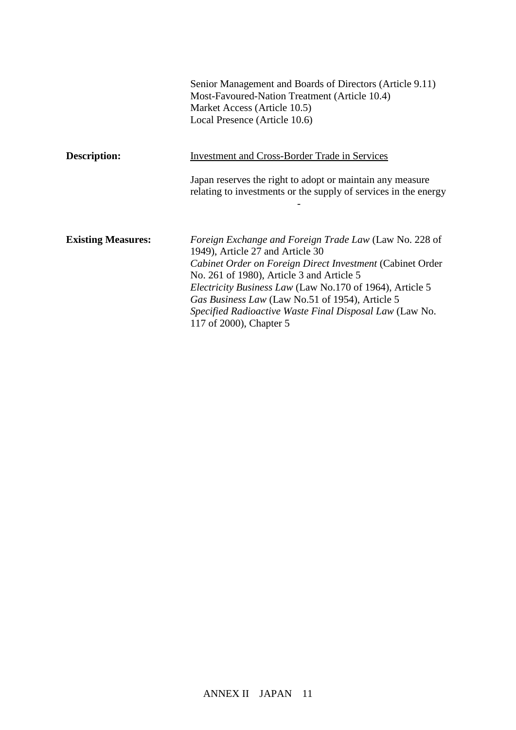|                           | Senior Management and Boards of Directors (Article 9.11)<br>Most-Favoured-Nation Treatment (Article 10.4)<br>Market Access (Article 10.5)<br>Local Presence (Article 10.6)                                                                                                                                                                                                                                              |
|---------------------------|-------------------------------------------------------------------------------------------------------------------------------------------------------------------------------------------------------------------------------------------------------------------------------------------------------------------------------------------------------------------------------------------------------------------------|
| Description:              | <b>Investment and Cross-Border Trade in Services</b>                                                                                                                                                                                                                                                                                                                                                                    |
|                           | Japan reserves the right to adopt or maintain any measure<br>relating to investments or the supply of services in the energy                                                                                                                                                                                                                                                                                            |
| <b>Existing Measures:</b> | <i>Foreign Exchange and Foreign Trade Law (Law No. 228 of</i><br>1949), Article 27 and Article 30<br>Cabinet Order on Foreign Direct Investment (Cabinet Order<br>No. 261 of 1980), Article 3 and Article 5<br><i>Electricity Business Law</i> (Law No.170 of 1964), Article 5<br>Gas Business Law (Law No.51 of 1954), Article 5<br>Specified Radioactive Waste Final Disposal Law (Law No.<br>117 of 2000), Chapter 5 |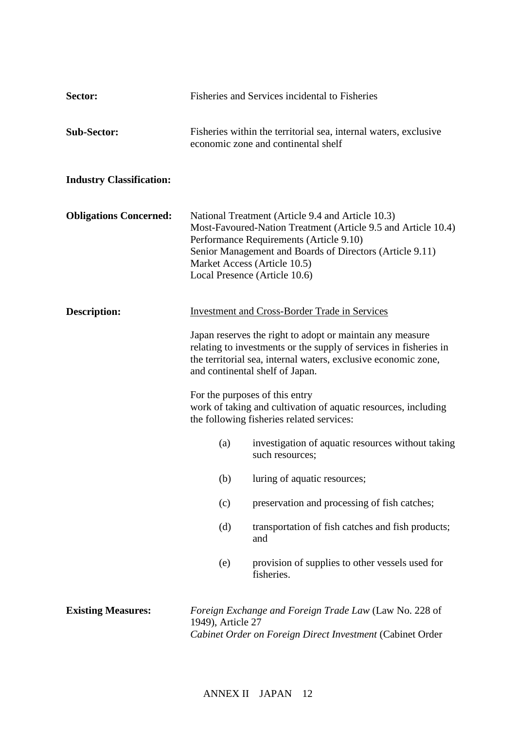| Sector:                         |                   | Fisheries and Services incidental to Fisheries                                                                                                                                                                                                                                             |
|---------------------------------|-------------------|--------------------------------------------------------------------------------------------------------------------------------------------------------------------------------------------------------------------------------------------------------------------------------------------|
| <b>Sub-Sector:</b>              |                   | Fisheries within the territorial sea, internal waters, exclusive<br>economic zone and continental shelf                                                                                                                                                                                    |
| <b>Industry Classification:</b> |                   |                                                                                                                                                                                                                                                                                            |
| <b>Obligations Concerned:</b>   |                   | National Treatment (Article 9.4 and Article 10.3)<br>Most-Favoured-Nation Treatment (Article 9.5 and Article 10.4)<br>Performance Requirements (Article 9.10)<br>Senior Management and Boards of Directors (Article 9.11)<br>Market Access (Article 10.5)<br>Local Presence (Article 10.6) |
| <b>Description:</b>             |                   | <b>Investment and Cross-Border Trade in Services</b>                                                                                                                                                                                                                                       |
|                                 |                   | Japan reserves the right to adopt or maintain any measure<br>relating to investments or the supply of services in fisheries in<br>the territorial sea, internal waters, exclusive economic zone,<br>and continental shelf of Japan.                                                        |
|                                 |                   | For the purposes of this entry<br>work of taking and cultivation of aquatic resources, including<br>the following fisheries related services:                                                                                                                                              |
|                                 | (a)               | investigation of aquatic resources without taking<br>such resources;                                                                                                                                                                                                                       |
|                                 | (b)               | luring of aquatic resources;                                                                                                                                                                                                                                                               |
|                                 | (c)               | preservation and processing of fish catches;                                                                                                                                                                                                                                               |
|                                 | (d)               | transportation of fish catches and fish products;<br>and                                                                                                                                                                                                                                   |
|                                 | (e)               | provision of supplies to other vessels used for<br>fisheries.                                                                                                                                                                                                                              |
| <b>Existing Measures:</b>       | 1949), Article 27 | Foreign Exchange and Foreign Trade Law (Law No. 228 of<br>Cabinet Order on Foreign Direct Investment (Cabinet Order                                                                                                                                                                        |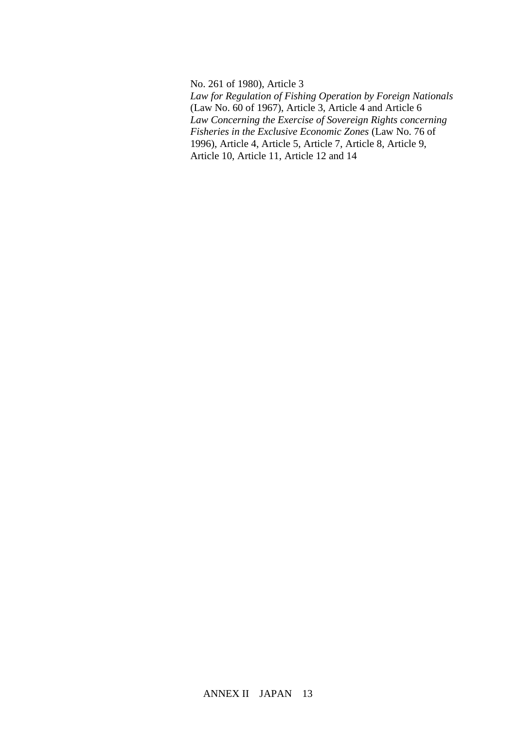No. 261 of 1980), Article 3 *Law for Regulation of Fishing Operation by Foreign Nationals*  (Law No. 60 of 1967), Article 3, Article 4 and Article 6 *Law Concerning the Exercise of Sovereign Rights concerning Fisheries in the Exclusive Economic Zones* (Law No. 76 of 1996), Article 4, Article 5, Article 7, Article 8, Article 9, Article 10, Article 11, Article 12 and 14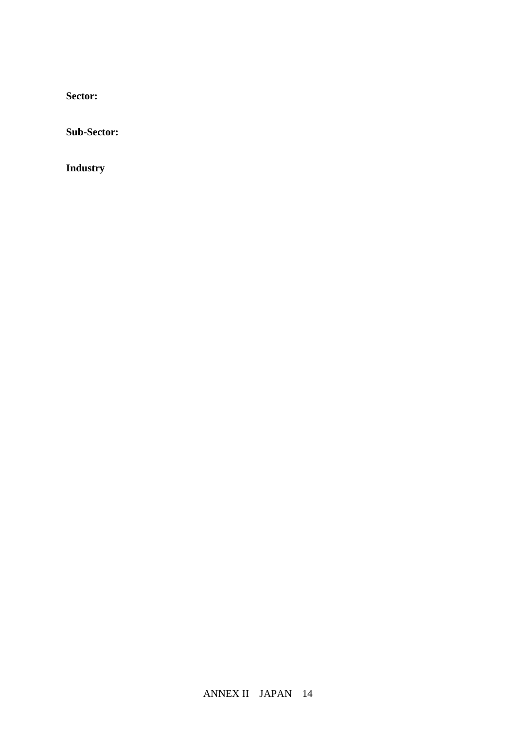**Sector:** 

**Sub-Sector:**

**Industry**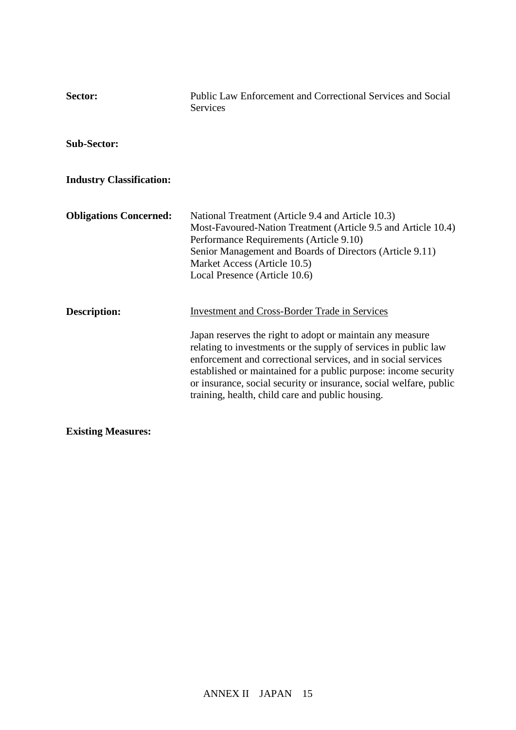| Sector:                         | Public Law Enforcement and Correctional Services and Social<br><b>Services</b>                                                                                                                                                                                                                                                                                                                                                                     |
|---------------------------------|----------------------------------------------------------------------------------------------------------------------------------------------------------------------------------------------------------------------------------------------------------------------------------------------------------------------------------------------------------------------------------------------------------------------------------------------------|
| <b>Sub-Sector:</b>              |                                                                                                                                                                                                                                                                                                                                                                                                                                                    |
| <b>Industry Classification:</b> |                                                                                                                                                                                                                                                                                                                                                                                                                                                    |
| <b>Obligations Concerned:</b>   | National Treatment (Article 9.4 and Article 10.3)<br>Most-Favoured-Nation Treatment (Article 9.5 and Article 10.4)<br>Performance Requirements (Article 9.10)<br>Senior Management and Boards of Directors (Article 9.11)<br>Market Access (Article 10.5)<br>Local Presence (Article 10.6)                                                                                                                                                         |
| <b>Description:</b>             | <b>Investment and Cross-Border Trade in Services</b><br>Japan reserves the right to adopt or maintain any measure<br>relating to investments or the supply of services in public law<br>enforcement and correctional services, and in social services<br>established or maintained for a public purpose: income security<br>or insurance, social security or insurance, social welfare, public<br>training, health, child care and public housing. |

**Existing Measures:**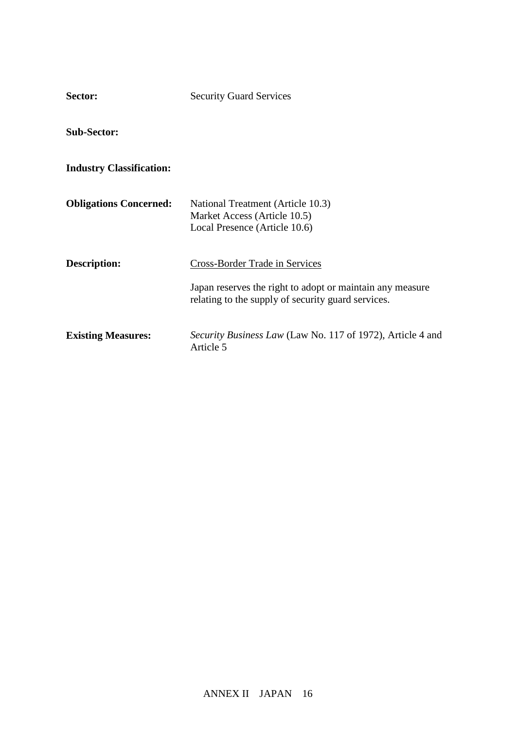| Sector:                         | <b>Security Guard Services</b>                                                                                                                           |
|---------------------------------|----------------------------------------------------------------------------------------------------------------------------------------------------------|
| <b>Sub-Sector:</b>              |                                                                                                                                                          |
| <b>Industry Classification:</b> |                                                                                                                                                          |
| <b>Obligations Concerned:</b>   | National Treatment (Article 10.3)<br>Market Access (Article 10.5)<br>Local Presence (Article 10.6)                                                       |
| <b>Description:</b>             | <b>Cross-Border Trade in Services</b><br>Japan reserves the right to adopt or maintain any measure<br>relating to the supply of security guard services. |
| <b>Existing Measures:</b>       | <i>Security Business Law</i> (Law No. 117 of 1972), Article 4 and<br>Article 5                                                                           |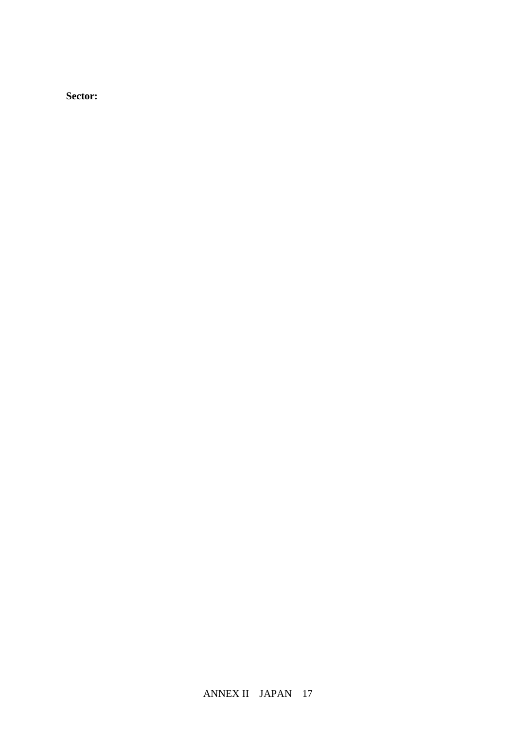**Sector:**